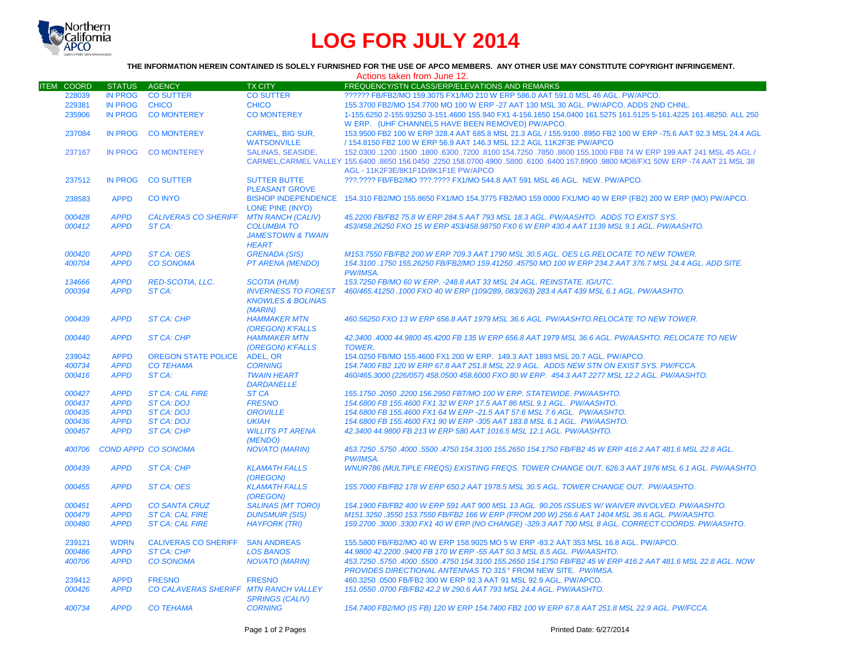

# **LOG FOR JULY 2014**

## **THE INFORMATION HEREIN CONTAINED IS SOLELY FURNISHED FOR THE USE OF APCO MEMBERS. ANY OTHER USE MAY CONSTITUTE COPYRIGHT INFRINGEMENT.**

| FREQUENCY/STN CLASS/ERP/ELEVATIONS AND REMARKS<br><b>ITEM COORD</b><br><b>STATUS</b><br><b>AGENCY</b><br><b>TX CITY</b><br><b>IN PROG</b><br><b>CO SUTTER</b><br>?????? FB/FB2/MO 159.3075 FX1/MO 210 W ERP 586.0 AAT 591.0 MSL 46 AGL. PW/APCO.<br>228039<br><b>CO SUTTER</b><br>229381<br><b>IN PROG</b><br><b>CHICO</b><br><b>CHICO</b><br>155.3700 FB2/MO 154.7700 MO 100 W ERP -27 AAT 130 MSL 30 AGL. PW/APCO. ADDS 2ND CHNL.<br><b>IN PROG</b><br>235906<br><b>CO MONTEREY</b><br><b>CO MONTEREY</b><br>1-155.6250 2-155.93250 3-151.4600 155.940 FX1 4-156.1650 154.0400 161.5275 161.5125 5-161.4225 161.48250. ALL 250<br>W ERP. (UHF CHANNELS HAVE BEEN REMOVED) PW/APCO.<br><b>IN PROG</b><br><b>CO MONTEREY</b><br><b>CARMEL. BIG SUR.</b><br>153.9500 FB2 100 W ERP 328.4 AAT 685.8 MSL 21.3 AGL / 155.9100 .8950 FB2 100 W ERP -75.6 AAT 92.3 MSL 24.4 AGL<br>237084<br><b>WATSONVILLE</b><br>/ 154.8150 FB2 100 W ERP 56.9 AAT 146.3 MSL 12.2 AGL 11K2F3E PW/APCO<br><b>SALINAS, SEASIDE,</b><br>152,0300 1200 155,000 155,1000 FB8 74 W ERP 199 AAT 241 MSL 45 AGL / 152,0300 152,0300 155,1000 155,1000 FB8 74<br>237167<br><b>IN PROG</b><br><b>CO MONTEREY</b><br>CARMEL, CARMEL VALLEY 155.6400 .8650 156.0450 .2250 158.0700 4900 .5800 .6100 .6400 157.8900 .9800 MO8/FX1 50W ERP -74 AAT 21 MSL 38<br>AGL - 11K2F3E/8K1F1D/8K1F1E PW/APCO<br>237512<br><b>IN PROG</b><br><b>CO SUTTER</b><br><b>SUTTER BUTTE</b><br>???.???? FB/FB2/MO ???.???? FX1/MO 544.8 AAT 591 MSL 46 AGL. NEW. PW/APCO.<br><b>PLEASANT GROVE</b><br>BISHOP INDEPENDENCE 154.310 FB2/MO 155.8650 FX1/MO 154.3775 FB2/MO 159.0000 FX1/MO 40 W ERP (FB2) 200 W ERP (MO) PW/APCO.<br><b>APPD</b><br><b>CO INYO</b><br>238583<br><b>LONE PINE (INYO)</b><br><b>APPD</b><br><b>CALIVERAS CO SHERIFF</b><br><b>MTN RANCH (CALIV)</b><br>45.2200 FB/FB2 75.8 W ERP 284.5 AAT 793 MSL 18.3 AGL. PW/AASHTO. ADDS TO EXIST SYS.<br>000428<br><b>APPD</b><br>ST CA:<br>453/458.26250 FXO 15 W ERP 453/458.98750 FX0 6 W ERP 430.4 AAT 1139 MSL 9.1 AGL. PW/AASHTO.<br>000412<br><b>COLUMBIA TO</b><br><b>JAMESTOWN &amp; TWAIN</b><br><b>HEART</b><br><b>APPD</b><br>000420<br><b>ST CA: OES</b><br><b>GRENADA (SIS)</b><br>M153.7550 FB/FB2 200 W ERP 709.3 AAT 1790 MSL 30.5 AGL. OES LG.RELOCATE TO NEW TOWER.<br><b>APPD</b><br><b>CO SONOMA</b><br><b>PT ARENA (MENDO)</b><br>154.3100 .1750 155.26250 FB/FB2/MO 159.41250 .45750 MO 100 W ERP 234.2 AAT 376.7 MSL 24.4 AGL. ADD SITE.<br>400704<br>PW/IMSA.<br><b>APPD</b><br><b>RED-SCOTIA, LLC.</b><br>153.7250 FB/MO 60 W ERP. - 248.8 AAT 33 MSL 24 AGL. REINSTATE. IG/UTC.<br>134666<br><b>SCOTIA (HUM)</b><br><b>APPD</b><br><b>INVERNESS TO FOREST</b><br>000394<br>ST CA:<br>460/465.41250 .1000 FXO 40 W ERP (109/289, 083/263) 283.4 AAT 439 MSL 6.1 AGL. PW/AASHTO.<br><b>KNOWLES &amp; BOLINAS</b><br>(MARIN)<br><b>APPD</b><br><b>HAMMAKER MTN</b><br>460.56250 FXO 13 W ERP 656.8 AAT 1979 MSL 36.6 AGL, PW/AASHTO.RELOCATE TO NEW TOWER.<br>000439<br><b>ST CA: CHP</b><br>(OREGON) K'FALLS<br>000440<br><b>APPD</b><br><b>HAMMAKER MTN</b><br>42.3400.4000 44.9800 45.4200 FB 135 W ERP 656.8 AAT 1979 MSL 36.6 AGL, PW/AASHTO, RELOCATE TO NEW<br><b>ST CA: CHP</b><br>(OREGON) K'FALLS<br><b>TOWER.</b><br><b>APPD</b><br>239042<br><b>OREGON STATE POLICE</b><br><b>ADEL, OR</b><br>154,0250 FB/MO 155,4600 FX1 200 W ERP. 149.3 AAT 1893 MSL 20.7 AGL. PW/APCO.<br><b>APPD</b><br><b>CO TEHAMA</b><br>154.7400 FB2 120 W ERP 67.8 AAT 251.8 MSL 22.9 AGL. ADDS NEW STN ON EXIST SYS. PW/FCCA.<br>400734<br><b>CORNING</b><br>000416<br><b>APPD</b><br>ST CA:<br>460/465.3000 (226/057) 458.0500 458.6000 FXO 80 W ERP. 454.3 AAT 2277 MSL 12.2 AGL. PW/AASHTO.<br><b>TWAIN HEART</b><br><b>DARDANELLE</b><br>000427<br><b>APPD</b><br><b>ST CA: CAL FIRE</b><br><b>ST CA</b><br>155.1750.2050.2200 156.2950 FBT/MO 100 W ERP. STATEWIDE. PW/AASHTO.<br><b>APPD</b><br><b>ST CA: DOJ</b><br>154.6800 FB 155.4600 FX1 32 W ERP 17.5 AAT 86 MSL 9.1 AGL. PW/AASHTO.<br>000437<br><b>FRESNO</b><br>000435<br><b>APPD</b><br><b>ST CA: DOJ</b><br><b>OROVILLE</b><br>154.6800 FB 155.4600 FX1 64 W ERP -21.5 AAT 57.6 MSL 7.6 AGL. PW/AASHTO.<br>000436<br><b>APPD</b><br>154.6800 FB 155.4600 FX1 90 W ERP -305 AAT 183.8 MSL 6.1 AGL. PW/AASHTO.<br><b>ST CA: DOJ</b><br><b>UKIAH</b><br><b>APPD</b><br>000457<br><b>ST CA: CHP</b><br><b>WILLITS PT ARENA</b><br>42.3400 44.9800 FB 213 W ERP 580 AAT 1016.5 MSL 12.1 AGL, PW/AASHTO.<br>(MENDO)<br><b>COND APPD CO SONOMA</b><br>453.7250 .5750 .4000 .5500 .4750 154.3100 155.2650 154.1750 FB/FB2 45 W ERP 416.2 AAT 481.6 MSL 22.8 AGL<br>400706<br><b>NOVATO (MARIN)</b><br>PW/IMSA.<br>000439<br><b>APPD</b><br><b>ST CA: CHP</b><br><b>KLAMATH FALLS</b><br>WNUR786 (MULTIPLE FREQS) EXISTING FREQS. TOWER CHANGE OUT. 626.3 AAT 1976 MSL 6.1 AGL. PW/AASHTO.<br>(OREGON)<br><b>APPD</b><br><b>ST CA: OES</b><br><b>KLAMATH FALLS</b><br>155,7000 FB/FB2 178 W ERP 650.2 AAT 1978.5 MSL 30.5 AGL. TOWER CHANGE OUT. PW/AASHTO.<br>000455<br>(OREGON)<br><b>APPD</b><br><b>CO SANTA CRUZ</b><br><b>SALINAS (MT TORO)</b><br>154.1900 FB/FB2 400 W ERP 591 AAT 900 MSL 13 AGL. 90.205 ISSUES W/WAIVER INVOLVED, PW/AASHTO,<br>000451<br><b>ST CA: CAL FIRE</b><br>M151.3250 .3550 153.7550 FB/FB2 166 W ERP (FROM 200 W) 256.6 AAT 1404 MSL 36.6 AGL. PW/AASHTO.<br>000479<br><b>APPD</b><br><b>DUNSMUIR (SIS)</b><br>000480<br><b>APPD</b><br><b>ST CA: CAL FIRE</b><br><b>HAYFORK (TRI)</b><br>159.2700 .3000 .3300 FX1 40 W ERP (NO CHANGE) -329.3 AAT 700 MSL 8 AGL. CORRECT COORDS. PW/AASHTO.<br>155.5800 FB/FB2/MO 40 W ERP 158.9025 MO 5 W ERP -83.2 AAT 353 MSL 16.8 AGL. PW/APCO.<br>239121<br><b>WDRN</b><br><b>CALIVERAS CO SHERIFF</b><br><b>SAN ANDREAS</b><br>000486<br><b>APPD</b><br><b>ST CA: CHP</b><br><b>LOS BANOS</b><br>44.9800 42.2200 .9400 FB 170 W ERP -55 AAT 50.3 MSL 8.5 AGL. PW/AASHTO.<br><b>APPD</b><br><b>CO SONOMA</b><br>400706<br><b>NOVATO (MARIN)</b><br>453.7250 .5750 .4000 .5500 .4750 154.3100 155.2650 154.1750 FB/FB2 45 W ERP 416.2 AAT 481.6 MSL 22.8 AGL. NOW<br>PROVIDES DIRECTIONAL ANTENNAS TO 315° FROM NEW SITE. PW/IMSA.<br>239412<br><b>APPD</b><br><b>FRESNO</b><br><b>FRESNO</b><br>460.3250 .0500 FB/FB2 300 W ERP 92.3 AAT 91 MSL 92.9 AGL. PW/APCO.<br><b>APPD</b><br>000426<br>CO CALAVERAS SHERIFF MTN RANCH VALLEY<br>151.0550.0700 FB/FB2 42.2 W 290.6 AAT 793 MSL 24.4 AGL, PW/AASHTO.<br><b>SPRINGS (CALIV)</b><br><b>APPD</b><br><b>CO TEHAMA</b><br><b>CORNING</b><br>154.7400 FB2/MO (IS FB) 120 W ERP 154.7400 FB2 100 W ERP 67.8 AAT 251.8 MSL 22.9 AGL. PW/FCCA.<br>400734 |  |  | Actions taken from June 12. |
|--------------------------------------------------------------------------------------------------------------------------------------------------------------------------------------------------------------------------------------------------------------------------------------------------------------------------------------------------------------------------------------------------------------------------------------------------------------------------------------------------------------------------------------------------------------------------------------------------------------------------------------------------------------------------------------------------------------------------------------------------------------------------------------------------------------------------------------------------------------------------------------------------------------------------------------------------------------------------------------------------------------------------------------------------------------------------------------------------------------------------------------------------------------------------------------------------------------------------------------------------------------------------------------------------------------------------------------------------------------------------------------------------------------------------------------------------------------------------------------------------------------------------------------------------------------------------------------------------------------------------------------------------------------------------------------------------------------------------------------------------------------------------------------------------------------------------------------------------------------------------------------------------------------------------------------------------------------------------------------------------------------------------------------------------------------------------------------------------------------------------------------------------------------------------------------------------------------------------------------------------------------------------------------------------------------------------------------------------------------------------------------------------------------------------------------------------------------------------------------------------------------------------------------------------------------------------------------------------------------------------------------------------------------------------------------------------------------------------------------------------------------------------------------------------------------------------------------------------------------------------------------------------------------------------------------------------------------------------------------------------------------------------------------------------------------------------------------------------------------------------------------------------------------------------------------------------------------------------------------------------------------------------------------------------------------------------------------------------------------------------------------------------------------------------------------------------------------------------------------------------------------------------------------------------------------------------------------------------------------------------------------------------------------------------------------------------------------------------------------------------------------------------------------------------------------------------------------------------------------------------------------------------------------------------------------------------------------------------------------------------------------------------------------------------------------------------------------------------------------------------------------------------------------------------------------------------------------------------------------------------------------------------------------------------------------------------------------------------------------------------------------------------------------------------------------------------------------------------------------------------------------------------------------------------------------------------------------------------------------------------------------------------------------------------------------------------------------------------------------------------------------------------------------------------------------------------------------------------------------------------------------------------------------------------------------------------------------------------------------------------------------------------------------------------------------------------------------------------------------------------------------------------------------------------------------------------------------------------------------------------------------------------------------------------------------------------------------------------------------------------------------------------------------------------------------------------------------------------------------------------------------------------------------------------------------------------------------------------------------------------------------------------------------------------------------------------------------------------------------------------------------------------------------------------------------------------------------------------------------------------------------------------------------------------------------------------------------------------------------------------------------------------------------------------------------------------------------------------------------------------------------------------------------------------------------------------------------------------------------------------------------------------------------------------------------------------------------------------------------------------------------------------------------------------------------------------------------------------------------------------------------------------------------------------------------------------------------------------------------------------------------------------------------------|--|--|-----------------------------|
|                                                                                                                                                                                                                                                                                                                                                                                                                                                                                                                                                                                                                                                                                                                                                                                                                                                                                                                                                                                                                                                                                                                                                                                                                                                                                                                                                                                                                                                                                                                                                                                                                                                                                                                                                                                                                                                                                                                                                                                                                                                                                                                                                                                                                                                                                                                                                                                                                                                                                                                                                                                                                                                                                                                                                                                                                                                                                                                                                                                                                                                                                                                                                                                                                                                                                                                                                                                                                                                                                                                                                                                                                                                                                                                                                                                                                                                                                                                                                                                                                                                                                                                                                                                                                                                                                                                                                                                                                                                                                                                                                                                                                                                                                                                                                                                                                                                                                                                                                                                                                                                                                                                                                                                                                                                                                                                                                                                                                                                                                                                                                                                                                                                                                                                                                                                                                                                                                                                                                                                                                                                                                                                                                                                                                                                                                                                                                                                                                                                                                                                                                                                                                                                                    |  |  |                             |
|                                                                                                                                                                                                                                                                                                                                                                                                                                                                                                                                                                                                                                                                                                                                                                                                                                                                                                                                                                                                                                                                                                                                                                                                                                                                                                                                                                                                                                                                                                                                                                                                                                                                                                                                                                                                                                                                                                                                                                                                                                                                                                                                                                                                                                                                                                                                                                                                                                                                                                                                                                                                                                                                                                                                                                                                                                                                                                                                                                                                                                                                                                                                                                                                                                                                                                                                                                                                                                                                                                                                                                                                                                                                                                                                                                                                                                                                                                                                                                                                                                                                                                                                                                                                                                                                                                                                                                                                                                                                                                                                                                                                                                                                                                                                                                                                                                                                                                                                                                                                                                                                                                                                                                                                                                                                                                                                                                                                                                                                                                                                                                                                                                                                                                                                                                                                                                                                                                                                                                                                                                                                                                                                                                                                                                                                                                                                                                                                                                                                                                                                                                                                                                                                    |  |  |                             |
|                                                                                                                                                                                                                                                                                                                                                                                                                                                                                                                                                                                                                                                                                                                                                                                                                                                                                                                                                                                                                                                                                                                                                                                                                                                                                                                                                                                                                                                                                                                                                                                                                                                                                                                                                                                                                                                                                                                                                                                                                                                                                                                                                                                                                                                                                                                                                                                                                                                                                                                                                                                                                                                                                                                                                                                                                                                                                                                                                                                                                                                                                                                                                                                                                                                                                                                                                                                                                                                                                                                                                                                                                                                                                                                                                                                                                                                                                                                                                                                                                                                                                                                                                                                                                                                                                                                                                                                                                                                                                                                                                                                                                                                                                                                                                                                                                                                                                                                                                                                                                                                                                                                                                                                                                                                                                                                                                                                                                                                                                                                                                                                                                                                                                                                                                                                                                                                                                                                                                                                                                                                                                                                                                                                                                                                                                                                                                                                                                                                                                                                                                                                                                                                                    |  |  |                             |
|                                                                                                                                                                                                                                                                                                                                                                                                                                                                                                                                                                                                                                                                                                                                                                                                                                                                                                                                                                                                                                                                                                                                                                                                                                                                                                                                                                                                                                                                                                                                                                                                                                                                                                                                                                                                                                                                                                                                                                                                                                                                                                                                                                                                                                                                                                                                                                                                                                                                                                                                                                                                                                                                                                                                                                                                                                                                                                                                                                                                                                                                                                                                                                                                                                                                                                                                                                                                                                                                                                                                                                                                                                                                                                                                                                                                                                                                                                                                                                                                                                                                                                                                                                                                                                                                                                                                                                                                                                                                                                                                                                                                                                                                                                                                                                                                                                                                                                                                                                                                                                                                                                                                                                                                                                                                                                                                                                                                                                                                                                                                                                                                                                                                                                                                                                                                                                                                                                                                                                                                                                                                                                                                                                                                                                                                                                                                                                                                                                                                                                                                                                                                                                                                    |  |  |                             |
|                                                                                                                                                                                                                                                                                                                                                                                                                                                                                                                                                                                                                                                                                                                                                                                                                                                                                                                                                                                                                                                                                                                                                                                                                                                                                                                                                                                                                                                                                                                                                                                                                                                                                                                                                                                                                                                                                                                                                                                                                                                                                                                                                                                                                                                                                                                                                                                                                                                                                                                                                                                                                                                                                                                                                                                                                                                                                                                                                                                                                                                                                                                                                                                                                                                                                                                                                                                                                                                                                                                                                                                                                                                                                                                                                                                                                                                                                                                                                                                                                                                                                                                                                                                                                                                                                                                                                                                                                                                                                                                                                                                                                                                                                                                                                                                                                                                                                                                                                                                                                                                                                                                                                                                                                                                                                                                                                                                                                                                                                                                                                                                                                                                                                                                                                                                                                                                                                                                                                                                                                                                                                                                                                                                                                                                                                                                                                                                                                                                                                                                                                                                                                                                                    |  |  |                             |
|                                                                                                                                                                                                                                                                                                                                                                                                                                                                                                                                                                                                                                                                                                                                                                                                                                                                                                                                                                                                                                                                                                                                                                                                                                                                                                                                                                                                                                                                                                                                                                                                                                                                                                                                                                                                                                                                                                                                                                                                                                                                                                                                                                                                                                                                                                                                                                                                                                                                                                                                                                                                                                                                                                                                                                                                                                                                                                                                                                                                                                                                                                                                                                                                                                                                                                                                                                                                                                                                                                                                                                                                                                                                                                                                                                                                                                                                                                                                                                                                                                                                                                                                                                                                                                                                                                                                                                                                                                                                                                                                                                                                                                                                                                                                                                                                                                                                                                                                                                                                                                                                                                                                                                                                                                                                                                                                                                                                                                                                                                                                                                                                                                                                                                                                                                                                                                                                                                                                                                                                                                                                                                                                                                                                                                                                                                                                                                                                                                                                                                                                                                                                                                                                    |  |  |                             |
|                                                                                                                                                                                                                                                                                                                                                                                                                                                                                                                                                                                                                                                                                                                                                                                                                                                                                                                                                                                                                                                                                                                                                                                                                                                                                                                                                                                                                                                                                                                                                                                                                                                                                                                                                                                                                                                                                                                                                                                                                                                                                                                                                                                                                                                                                                                                                                                                                                                                                                                                                                                                                                                                                                                                                                                                                                                                                                                                                                                                                                                                                                                                                                                                                                                                                                                                                                                                                                                                                                                                                                                                                                                                                                                                                                                                                                                                                                                                                                                                                                                                                                                                                                                                                                                                                                                                                                                                                                                                                                                                                                                                                                                                                                                                                                                                                                                                                                                                                                                                                                                                                                                                                                                                                                                                                                                                                                                                                                                                                                                                                                                                                                                                                                                                                                                                                                                                                                                                                                                                                                                                                                                                                                                                                                                                                                                                                                                                                                                                                                                                                                                                                                                                    |  |  |                             |
|                                                                                                                                                                                                                                                                                                                                                                                                                                                                                                                                                                                                                                                                                                                                                                                                                                                                                                                                                                                                                                                                                                                                                                                                                                                                                                                                                                                                                                                                                                                                                                                                                                                                                                                                                                                                                                                                                                                                                                                                                                                                                                                                                                                                                                                                                                                                                                                                                                                                                                                                                                                                                                                                                                                                                                                                                                                                                                                                                                                                                                                                                                                                                                                                                                                                                                                                                                                                                                                                                                                                                                                                                                                                                                                                                                                                                                                                                                                                                                                                                                                                                                                                                                                                                                                                                                                                                                                                                                                                                                                                                                                                                                                                                                                                                                                                                                                                                                                                                                                                                                                                                                                                                                                                                                                                                                                                                                                                                                                                                                                                                                                                                                                                                                                                                                                                                                                                                                                                                                                                                                                                                                                                                                                                                                                                                                                                                                                                                                                                                                                                                                                                                                                                    |  |  |                             |
|                                                                                                                                                                                                                                                                                                                                                                                                                                                                                                                                                                                                                                                                                                                                                                                                                                                                                                                                                                                                                                                                                                                                                                                                                                                                                                                                                                                                                                                                                                                                                                                                                                                                                                                                                                                                                                                                                                                                                                                                                                                                                                                                                                                                                                                                                                                                                                                                                                                                                                                                                                                                                                                                                                                                                                                                                                                                                                                                                                                                                                                                                                                                                                                                                                                                                                                                                                                                                                                                                                                                                                                                                                                                                                                                                                                                                                                                                                                                                                                                                                                                                                                                                                                                                                                                                                                                                                                                                                                                                                                                                                                                                                                                                                                                                                                                                                                                                                                                                                                                                                                                                                                                                                                                                                                                                                                                                                                                                                                                                                                                                                                                                                                                                                                                                                                                                                                                                                                                                                                                                                                                                                                                                                                                                                                                                                                                                                                                                                                                                                                                                                                                                                                                    |  |  |                             |
|                                                                                                                                                                                                                                                                                                                                                                                                                                                                                                                                                                                                                                                                                                                                                                                                                                                                                                                                                                                                                                                                                                                                                                                                                                                                                                                                                                                                                                                                                                                                                                                                                                                                                                                                                                                                                                                                                                                                                                                                                                                                                                                                                                                                                                                                                                                                                                                                                                                                                                                                                                                                                                                                                                                                                                                                                                                                                                                                                                                                                                                                                                                                                                                                                                                                                                                                                                                                                                                                                                                                                                                                                                                                                                                                                                                                                                                                                                                                                                                                                                                                                                                                                                                                                                                                                                                                                                                                                                                                                                                                                                                                                                                                                                                                                                                                                                                                                                                                                                                                                                                                                                                                                                                                                                                                                                                                                                                                                                                                                                                                                                                                                                                                                                                                                                                                                                                                                                                                                                                                                                                                                                                                                                                                                                                                                                                                                                                                                                                                                                                                                                                                                                                                    |  |  |                             |
|                                                                                                                                                                                                                                                                                                                                                                                                                                                                                                                                                                                                                                                                                                                                                                                                                                                                                                                                                                                                                                                                                                                                                                                                                                                                                                                                                                                                                                                                                                                                                                                                                                                                                                                                                                                                                                                                                                                                                                                                                                                                                                                                                                                                                                                                                                                                                                                                                                                                                                                                                                                                                                                                                                                                                                                                                                                                                                                                                                                                                                                                                                                                                                                                                                                                                                                                                                                                                                                                                                                                                                                                                                                                                                                                                                                                                                                                                                                                                                                                                                                                                                                                                                                                                                                                                                                                                                                                                                                                                                                                                                                                                                                                                                                                                                                                                                                                                                                                                                                                                                                                                                                                                                                                                                                                                                                                                                                                                                                                                                                                                                                                                                                                                                                                                                                                                                                                                                                                                                                                                                                                                                                                                                                                                                                                                                                                                                                                                                                                                                                                                                                                                                                                    |  |  |                             |
|                                                                                                                                                                                                                                                                                                                                                                                                                                                                                                                                                                                                                                                                                                                                                                                                                                                                                                                                                                                                                                                                                                                                                                                                                                                                                                                                                                                                                                                                                                                                                                                                                                                                                                                                                                                                                                                                                                                                                                                                                                                                                                                                                                                                                                                                                                                                                                                                                                                                                                                                                                                                                                                                                                                                                                                                                                                                                                                                                                                                                                                                                                                                                                                                                                                                                                                                                                                                                                                                                                                                                                                                                                                                                                                                                                                                                                                                                                                                                                                                                                                                                                                                                                                                                                                                                                                                                                                                                                                                                                                                                                                                                                                                                                                                                                                                                                                                                                                                                                                                                                                                                                                                                                                                                                                                                                                                                                                                                                                                                                                                                                                                                                                                                                                                                                                                                                                                                                                                                                                                                                                                                                                                                                                                                                                                                                                                                                                                                                                                                                                                                                                                                                                                    |  |  |                             |
|                                                                                                                                                                                                                                                                                                                                                                                                                                                                                                                                                                                                                                                                                                                                                                                                                                                                                                                                                                                                                                                                                                                                                                                                                                                                                                                                                                                                                                                                                                                                                                                                                                                                                                                                                                                                                                                                                                                                                                                                                                                                                                                                                                                                                                                                                                                                                                                                                                                                                                                                                                                                                                                                                                                                                                                                                                                                                                                                                                                                                                                                                                                                                                                                                                                                                                                                                                                                                                                                                                                                                                                                                                                                                                                                                                                                                                                                                                                                                                                                                                                                                                                                                                                                                                                                                                                                                                                                                                                                                                                                                                                                                                                                                                                                                                                                                                                                                                                                                                                                                                                                                                                                                                                                                                                                                                                                                                                                                                                                                                                                                                                                                                                                                                                                                                                                                                                                                                                                                                                                                                                                                                                                                                                                                                                                                                                                                                                                                                                                                                                                                                                                                                                                    |  |  |                             |
|                                                                                                                                                                                                                                                                                                                                                                                                                                                                                                                                                                                                                                                                                                                                                                                                                                                                                                                                                                                                                                                                                                                                                                                                                                                                                                                                                                                                                                                                                                                                                                                                                                                                                                                                                                                                                                                                                                                                                                                                                                                                                                                                                                                                                                                                                                                                                                                                                                                                                                                                                                                                                                                                                                                                                                                                                                                                                                                                                                                                                                                                                                                                                                                                                                                                                                                                                                                                                                                                                                                                                                                                                                                                                                                                                                                                                                                                                                                                                                                                                                                                                                                                                                                                                                                                                                                                                                                                                                                                                                                                                                                                                                                                                                                                                                                                                                                                                                                                                                                                                                                                                                                                                                                                                                                                                                                                                                                                                                                                                                                                                                                                                                                                                                                                                                                                                                                                                                                                                                                                                                                                                                                                                                                                                                                                                                                                                                                                                                                                                                                                                                                                                                                                    |  |  |                             |
|                                                                                                                                                                                                                                                                                                                                                                                                                                                                                                                                                                                                                                                                                                                                                                                                                                                                                                                                                                                                                                                                                                                                                                                                                                                                                                                                                                                                                                                                                                                                                                                                                                                                                                                                                                                                                                                                                                                                                                                                                                                                                                                                                                                                                                                                                                                                                                                                                                                                                                                                                                                                                                                                                                                                                                                                                                                                                                                                                                                                                                                                                                                                                                                                                                                                                                                                                                                                                                                                                                                                                                                                                                                                                                                                                                                                                                                                                                                                                                                                                                                                                                                                                                                                                                                                                                                                                                                                                                                                                                                                                                                                                                                                                                                                                                                                                                                                                                                                                                                                                                                                                                                                                                                                                                                                                                                                                                                                                                                                                                                                                                                                                                                                                                                                                                                                                                                                                                                                                                                                                                                                                                                                                                                                                                                                                                                                                                                                                                                                                                                                                                                                                                                                    |  |  |                             |
|                                                                                                                                                                                                                                                                                                                                                                                                                                                                                                                                                                                                                                                                                                                                                                                                                                                                                                                                                                                                                                                                                                                                                                                                                                                                                                                                                                                                                                                                                                                                                                                                                                                                                                                                                                                                                                                                                                                                                                                                                                                                                                                                                                                                                                                                                                                                                                                                                                                                                                                                                                                                                                                                                                                                                                                                                                                                                                                                                                                                                                                                                                                                                                                                                                                                                                                                                                                                                                                                                                                                                                                                                                                                                                                                                                                                                                                                                                                                                                                                                                                                                                                                                                                                                                                                                                                                                                                                                                                                                                                                                                                                                                                                                                                                                                                                                                                                                                                                                                                                                                                                                                                                                                                                                                                                                                                                                                                                                                                                                                                                                                                                                                                                                                                                                                                                                                                                                                                                                                                                                                                                                                                                                                                                                                                                                                                                                                                                                                                                                                                                                                                                                                                                    |  |  |                             |
|                                                                                                                                                                                                                                                                                                                                                                                                                                                                                                                                                                                                                                                                                                                                                                                                                                                                                                                                                                                                                                                                                                                                                                                                                                                                                                                                                                                                                                                                                                                                                                                                                                                                                                                                                                                                                                                                                                                                                                                                                                                                                                                                                                                                                                                                                                                                                                                                                                                                                                                                                                                                                                                                                                                                                                                                                                                                                                                                                                                                                                                                                                                                                                                                                                                                                                                                                                                                                                                                                                                                                                                                                                                                                                                                                                                                                                                                                                                                                                                                                                                                                                                                                                                                                                                                                                                                                                                                                                                                                                                                                                                                                                                                                                                                                                                                                                                                                                                                                                                                                                                                                                                                                                                                                                                                                                                                                                                                                                                                                                                                                                                                                                                                                                                                                                                                                                                                                                                                                                                                                                                                                                                                                                                                                                                                                                                                                                                                                                                                                                                                                                                                                                                                    |  |  |                             |
|                                                                                                                                                                                                                                                                                                                                                                                                                                                                                                                                                                                                                                                                                                                                                                                                                                                                                                                                                                                                                                                                                                                                                                                                                                                                                                                                                                                                                                                                                                                                                                                                                                                                                                                                                                                                                                                                                                                                                                                                                                                                                                                                                                                                                                                                                                                                                                                                                                                                                                                                                                                                                                                                                                                                                                                                                                                                                                                                                                                                                                                                                                                                                                                                                                                                                                                                                                                                                                                                                                                                                                                                                                                                                                                                                                                                                                                                                                                                                                                                                                                                                                                                                                                                                                                                                                                                                                                                                                                                                                                                                                                                                                                                                                                                                                                                                                                                                                                                                                                                                                                                                                                                                                                                                                                                                                                                                                                                                                                                                                                                                                                                                                                                                                                                                                                                                                                                                                                                                                                                                                                                                                                                                                                                                                                                                                                                                                                                                                                                                                                                                                                                                                                                    |  |  |                             |
|                                                                                                                                                                                                                                                                                                                                                                                                                                                                                                                                                                                                                                                                                                                                                                                                                                                                                                                                                                                                                                                                                                                                                                                                                                                                                                                                                                                                                                                                                                                                                                                                                                                                                                                                                                                                                                                                                                                                                                                                                                                                                                                                                                                                                                                                                                                                                                                                                                                                                                                                                                                                                                                                                                                                                                                                                                                                                                                                                                                                                                                                                                                                                                                                                                                                                                                                                                                                                                                                                                                                                                                                                                                                                                                                                                                                                                                                                                                                                                                                                                                                                                                                                                                                                                                                                                                                                                                                                                                                                                                                                                                                                                                                                                                                                                                                                                                                                                                                                                                                                                                                                                                                                                                                                                                                                                                                                                                                                                                                                                                                                                                                                                                                                                                                                                                                                                                                                                                                                                                                                                                                                                                                                                                                                                                                                                                                                                                                                                                                                                                                                                                                                                                                    |  |  |                             |
|                                                                                                                                                                                                                                                                                                                                                                                                                                                                                                                                                                                                                                                                                                                                                                                                                                                                                                                                                                                                                                                                                                                                                                                                                                                                                                                                                                                                                                                                                                                                                                                                                                                                                                                                                                                                                                                                                                                                                                                                                                                                                                                                                                                                                                                                                                                                                                                                                                                                                                                                                                                                                                                                                                                                                                                                                                                                                                                                                                                                                                                                                                                                                                                                                                                                                                                                                                                                                                                                                                                                                                                                                                                                                                                                                                                                                                                                                                                                                                                                                                                                                                                                                                                                                                                                                                                                                                                                                                                                                                                                                                                                                                                                                                                                                                                                                                                                                                                                                                                                                                                                                                                                                                                                                                                                                                                                                                                                                                                                                                                                                                                                                                                                                                                                                                                                                                                                                                                                                                                                                                                                                                                                                                                                                                                                                                                                                                                                                                                                                                                                                                                                                                                                    |  |  |                             |
|                                                                                                                                                                                                                                                                                                                                                                                                                                                                                                                                                                                                                                                                                                                                                                                                                                                                                                                                                                                                                                                                                                                                                                                                                                                                                                                                                                                                                                                                                                                                                                                                                                                                                                                                                                                                                                                                                                                                                                                                                                                                                                                                                                                                                                                                                                                                                                                                                                                                                                                                                                                                                                                                                                                                                                                                                                                                                                                                                                                                                                                                                                                                                                                                                                                                                                                                                                                                                                                                                                                                                                                                                                                                                                                                                                                                                                                                                                                                                                                                                                                                                                                                                                                                                                                                                                                                                                                                                                                                                                                                                                                                                                                                                                                                                                                                                                                                                                                                                                                                                                                                                                                                                                                                                                                                                                                                                                                                                                                                                                                                                                                                                                                                                                                                                                                                                                                                                                                                                                                                                                                                                                                                                                                                                                                                                                                                                                                                                                                                                                                                                                                                                                                                    |  |  |                             |
|                                                                                                                                                                                                                                                                                                                                                                                                                                                                                                                                                                                                                                                                                                                                                                                                                                                                                                                                                                                                                                                                                                                                                                                                                                                                                                                                                                                                                                                                                                                                                                                                                                                                                                                                                                                                                                                                                                                                                                                                                                                                                                                                                                                                                                                                                                                                                                                                                                                                                                                                                                                                                                                                                                                                                                                                                                                                                                                                                                                                                                                                                                                                                                                                                                                                                                                                                                                                                                                                                                                                                                                                                                                                                                                                                                                                                                                                                                                                                                                                                                                                                                                                                                                                                                                                                                                                                                                                                                                                                                                                                                                                                                                                                                                                                                                                                                                                                                                                                                                                                                                                                                                                                                                                                                                                                                                                                                                                                                                                                                                                                                                                                                                                                                                                                                                                                                                                                                                                                                                                                                                                                                                                                                                                                                                                                                                                                                                                                                                                                                                                                                                                                                                                    |  |  |                             |
|                                                                                                                                                                                                                                                                                                                                                                                                                                                                                                                                                                                                                                                                                                                                                                                                                                                                                                                                                                                                                                                                                                                                                                                                                                                                                                                                                                                                                                                                                                                                                                                                                                                                                                                                                                                                                                                                                                                                                                                                                                                                                                                                                                                                                                                                                                                                                                                                                                                                                                                                                                                                                                                                                                                                                                                                                                                                                                                                                                                                                                                                                                                                                                                                                                                                                                                                                                                                                                                                                                                                                                                                                                                                                                                                                                                                                                                                                                                                                                                                                                                                                                                                                                                                                                                                                                                                                                                                                                                                                                                                                                                                                                                                                                                                                                                                                                                                                                                                                                                                                                                                                                                                                                                                                                                                                                                                                                                                                                                                                                                                                                                                                                                                                                                                                                                                                                                                                                                                                                                                                                                                                                                                                                                                                                                                                                                                                                                                                                                                                                                                                                                                                                                                    |  |  |                             |
|                                                                                                                                                                                                                                                                                                                                                                                                                                                                                                                                                                                                                                                                                                                                                                                                                                                                                                                                                                                                                                                                                                                                                                                                                                                                                                                                                                                                                                                                                                                                                                                                                                                                                                                                                                                                                                                                                                                                                                                                                                                                                                                                                                                                                                                                                                                                                                                                                                                                                                                                                                                                                                                                                                                                                                                                                                                                                                                                                                                                                                                                                                                                                                                                                                                                                                                                                                                                                                                                                                                                                                                                                                                                                                                                                                                                                                                                                                                                                                                                                                                                                                                                                                                                                                                                                                                                                                                                                                                                                                                                                                                                                                                                                                                                                                                                                                                                                                                                                                                                                                                                                                                                                                                                                                                                                                                                                                                                                                                                                                                                                                                                                                                                                                                                                                                                                                                                                                                                                                                                                                                                                                                                                                                                                                                                                                                                                                                                                                                                                                                                                                                                                                                                    |  |  |                             |
|                                                                                                                                                                                                                                                                                                                                                                                                                                                                                                                                                                                                                                                                                                                                                                                                                                                                                                                                                                                                                                                                                                                                                                                                                                                                                                                                                                                                                                                                                                                                                                                                                                                                                                                                                                                                                                                                                                                                                                                                                                                                                                                                                                                                                                                                                                                                                                                                                                                                                                                                                                                                                                                                                                                                                                                                                                                                                                                                                                                                                                                                                                                                                                                                                                                                                                                                                                                                                                                                                                                                                                                                                                                                                                                                                                                                                                                                                                                                                                                                                                                                                                                                                                                                                                                                                                                                                                                                                                                                                                                                                                                                                                                                                                                                                                                                                                                                                                                                                                                                                                                                                                                                                                                                                                                                                                                                                                                                                                                                                                                                                                                                                                                                                                                                                                                                                                                                                                                                                                                                                                                                                                                                                                                                                                                                                                                                                                                                                                                                                                                                                                                                                                                                    |  |  |                             |
|                                                                                                                                                                                                                                                                                                                                                                                                                                                                                                                                                                                                                                                                                                                                                                                                                                                                                                                                                                                                                                                                                                                                                                                                                                                                                                                                                                                                                                                                                                                                                                                                                                                                                                                                                                                                                                                                                                                                                                                                                                                                                                                                                                                                                                                                                                                                                                                                                                                                                                                                                                                                                                                                                                                                                                                                                                                                                                                                                                                                                                                                                                                                                                                                                                                                                                                                                                                                                                                                                                                                                                                                                                                                                                                                                                                                                                                                                                                                                                                                                                                                                                                                                                                                                                                                                                                                                                                                                                                                                                                                                                                                                                                                                                                                                                                                                                                                                                                                                                                                                                                                                                                                                                                                                                                                                                                                                                                                                                                                                                                                                                                                                                                                                                                                                                                                                                                                                                                                                                                                                                                                                                                                                                                                                                                                                                                                                                                                                                                                                                                                                                                                                                                                    |  |  |                             |
|                                                                                                                                                                                                                                                                                                                                                                                                                                                                                                                                                                                                                                                                                                                                                                                                                                                                                                                                                                                                                                                                                                                                                                                                                                                                                                                                                                                                                                                                                                                                                                                                                                                                                                                                                                                                                                                                                                                                                                                                                                                                                                                                                                                                                                                                                                                                                                                                                                                                                                                                                                                                                                                                                                                                                                                                                                                                                                                                                                                                                                                                                                                                                                                                                                                                                                                                                                                                                                                                                                                                                                                                                                                                                                                                                                                                                                                                                                                                                                                                                                                                                                                                                                                                                                                                                                                                                                                                                                                                                                                                                                                                                                                                                                                                                                                                                                                                                                                                                                                                                                                                                                                                                                                                                                                                                                                                                                                                                                                                                                                                                                                                                                                                                                                                                                                                                                                                                                                                                                                                                                                                                                                                                                                                                                                                                                                                                                                                                                                                                                                                                                                                                                                                    |  |  |                             |
|                                                                                                                                                                                                                                                                                                                                                                                                                                                                                                                                                                                                                                                                                                                                                                                                                                                                                                                                                                                                                                                                                                                                                                                                                                                                                                                                                                                                                                                                                                                                                                                                                                                                                                                                                                                                                                                                                                                                                                                                                                                                                                                                                                                                                                                                                                                                                                                                                                                                                                                                                                                                                                                                                                                                                                                                                                                                                                                                                                                                                                                                                                                                                                                                                                                                                                                                                                                                                                                                                                                                                                                                                                                                                                                                                                                                                                                                                                                                                                                                                                                                                                                                                                                                                                                                                                                                                                                                                                                                                                                                                                                                                                                                                                                                                                                                                                                                                                                                                                                                                                                                                                                                                                                                                                                                                                                                                                                                                                                                                                                                                                                                                                                                                                                                                                                                                                                                                                                                                                                                                                                                                                                                                                                                                                                                                                                                                                                                                                                                                                                                                                                                                                                                    |  |  |                             |
|                                                                                                                                                                                                                                                                                                                                                                                                                                                                                                                                                                                                                                                                                                                                                                                                                                                                                                                                                                                                                                                                                                                                                                                                                                                                                                                                                                                                                                                                                                                                                                                                                                                                                                                                                                                                                                                                                                                                                                                                                                                                                                                                                                                                                                                                                                                                                                                                                                                                                                                                                                                                                                                                                                                                                                                                                                                                                                                                                                                                                                                                                                                                                                                                                                                                                                                                                                                                                                                                                                                                                                                                                                                                                                                                                                                                                                                                                                                                                                                                                                                                                                                                                                                                                                                                                                                                                                                                                                                                                                                                                                                                                                                                                                                                                                                                                                                                                                                                                                                                                                                                                                                                                                                                                                                                                                                                                                                                                                                                                                                                                                                                                                                                                                                                                                                                                                                                                                                                                                                                                                                                                                                                                                                                                                                                                                                                                                                                                                                                                                                                                                                                                                                                    |  |  |                             |
|                                                                                                                                                                                                                                                                                                                                                                                                                                                                                                                                                                                                                                                                                                                                                                                                                                                                                                                                                                                                                                                                                                                                                                                                                                                                                                                                                                                                                                                                                                                                                                                                                                                                                                                                                                                                                                                                                                                                                                                                                                                                                                                                                                                                                                                                                                                                                                                                                                                                                                                                                                                                                                                                                                                                                                                                                                                                                                                                                                                                                                                                                                                                                                                                                                                                                                                                                                                                                                                                                                                                                                                                                                                                                                                                                                                                                                                                                                                                                                                                                                                                                                                                                                                                                                                                                                                                                                                                                                                                                                                                                                                                                                                                                                                                                                                                                                                                                                                                                                                                                                                                                                                                                                                                                                                                                                                                                                                                                                                                                                                                                                                                                                                                                                                                                                                                                                                                                                                                                                                                                                                                                                                                                                                                                                                                                                                                                                                                                                                                                                                                                                                                                                                                    |  |  |                             |
|                                                                                                                                                                                                                                                                                                                                                                                                                                                                                                                                                                                                                                                                                                                                                                                                                                                                                                                                                                                                                                                                                                                                                                                                                                                                                                                                                                                                                                                                                                                                                                                                                                                                                                                                                                                                                                                                                                                                                                                                                                                                                                                                                                                                                                                                                                                                                                                                                                                                                                                                                                                                                                                                                                                                                                                                                                                                                                                                                                                                                                                                                                                                                                                                                                                                                                                                                                                                                                                                                                                                                                                                                                                                                                                                                                                                                                                                                                                                                                                                                                                                                                                                                                                                                                                                                                                                                                                                                                                                                                                                                                                                                                                                                                                                                                                                                                                                                                                                                                                                                                                                                                                                                                                                                                                                                                                                                                                                                                                                                                                                                                                                                                                                                                                                                                                                                                                                                                                                                                                                                                                                                                                                                                                                                                                                                                                                                                                                                                                                                                                                                                                                                                                                    |  |  |                             |
|                                                                                                                                                                                                                                                                                                                                                                                                                                                                                                                                                                                                                                                                                                                                                                                                                                                                                                                                                                                                                                                                                                                                                                                                                                                                                                                                                                                                                                                                                                                                                                                                                                                                                                                                                                                                                                                                                                                                                                                                                                                                                                                                                                                                                                                                                                                                                                                                                                                                                                                                                                                                                                                                                                                                                                                                                                                                                                                                                                                                                                                                                                                                                                                                                                                                                                                                                                                                                                                                                                                                                                                                                                                                                                                                                                                                                                                                                                                                                                                                                                                                                                                                                                                                                                                                                                                                                                                                                                                                                                                                                                                                                                                                                                                                                                                                                                                                                                                                                                                                                                                                                                                                                                                                                                                                                                                                                                                                                                                                                                                                                                                                                                                                                                                                                                                                                                                                                                                                                                                                                                                                                                                                                                                                                                                                                                                                                                                                                                                                                                                                                                                                                                                                    |  |  |                             |
|                                                                                                                                                                                                                                                                                                                                                                                                                                                                                                                                                                                                                                                                                                                                                                                                                                                                                                                                                                                                                                                                                                                                                                                                                                                                                                                                                                                                                                                                                                                                                                                                                                                                                                                                                                                                                                                                                                                                                                                                                                                                                                                                                                                                                                                                                                                                                                                                                                                                                                                                                                                                                                                                                                                                                                                                                                                                                                                                                                                                                                                                                                                                                                                                                                                                                                                                                                                                                                                                                                                                                                                                                                                                                                                                                                                                                                                                                                                                                                                                                                                                                                                                                                                                                                                                                                                                                                                                                                                                                                                                                                                                                                                                                                                                                                                                                                                                                                                                                                                                                                                                                                                                                                                                                                                                                                                                                                                                                                                                                                                                                                                                                                                                                                                                                                                                                                                                                                                                                                                                                                                                                                                                                                                                                                                                                                                                                                                                                                                                                                                                                                                                                                                                    |  |  |                             |
|                                                                                                                                                                                                                                                                                                                                                                                                                                                                                                                                                                                                                                                                                                                                                                                                                                                                                                                                                                                                                                                                                                                                                                                                                                                                                                                                                                                                                                                                                                                                                                                                                                                                                                                                                                                                                                                                                                                                                                                                                                                                                                                                                                                                                                                                                                                                                                                                                                                                                                                                                                                                                                                                                                                                                                                                                                                                                                                                                                                                                                                                                                                                                                                                                                                                                                                                                                                                                                                                                                                                                                                                                                                                                                                                                                                                                                                                                                                                                                                                                                                                                                                                                                                                                                                                                                                                                                                                                                                                                                                                                                                                                                                                                                                                                                                                                                                                                                                                                                                                                                                                                                                                                                                                                                                                                                                                                                                                                                                                                                                                                                                                                                                                                                                                                                                                                                                                                                                                                                                                                                                                                                                                                                                                                                                                                                                                                                                                                                                                                                                                                                                                                                                                    |  |  |                             |
|                                                                                                                                                                                                                                                                                                                                                                                                                                                                                                                                                                                                                                                                                                                                                                                                                                                                                                                                                                                                                                                                                                                                                                                                                                                                                                                                                                                                                                                                                                                                                                                                                                                                                                                                                                                                                                                                                                                                                                                                                                                                                                                                                                                                                                                                                                                                                                                                                                                                                                                                                                                                                                                                                                                                                                                                                                                                                                                                                                                                                                                                                                                                                                                                                                                                                                                                                                                                                                                                                                                                                                                                                                                                                                                                                                                                                                                                                                                                                                                                                                                                                                                                                                                                                                                                                                                                                                                                                                                                                                                                                                                                                                                                                                                                                                                                                                                                                                                                                                                                                                                                                                                                                                                                                                                                                                                                                                                                                                                                                                                                                                                                                                                                                                                                                                                                                                                                                                                                                                                                                                                                                                                                                                                                                                                                                                                                                                                                                                                                                                                                                                                                                                                                    |  |  |                             |
|                                                                                                                                                                                                                                                                                                                                                                                                                                                                                                                                                                                                                                                                                                                                                                                                                                                                                                                                                                                                                                                                                                                                                                                                                                                                                                                                                                                                                                                                                                                                                                                                                                                                                                                                                                                                                                                                                                                                                                                                                                                                                                                                                                                                                                                                                                                                                                                                                                                                                                                                                                                                                                                                                                                                                                                                                                                                                                                                                                                                                                                                                                                                                                                                                                                                                                                                                                                                                                                                                                                                                                                                                                                                                                                                                                                                                                                                                                                                                                                                                                                                                                                                                                                                                                                                                                                                                                                                                                                                                                                                                                                                                                                                                                                                                                                                                                                                                                                                                                                                                                                                                                                                                                                                                                                                                                                                                                                                                                                                                                                                                                                                                                                                                                                                                                                                                                                                                                                                                                                                                                                                                                                                                                                                                                                                                                                                                                                                                                                                                                                                                                                                                                                                    |  |  |                             |
|                                                                                                                                                                                                                                                                                                                                                                                                                                                                                                                                                                                                                                                                                                                                                                                                                                                                                                                                                                                                                                                                                                                                                                                                                                                                                                                                                                                                                                                                                                                                                                                                                                                                                                                                                                                                                                                                                                                                                                                                                                                                                                                                                                                                                                                                                                                                                                                                                                                                                                                                                                                                                                                                                                                                                                                                                                                                                                                                                                                                                                                                                                                                                                                                                                                                                                                                                                                                                                                                                                                                                                                                                                                                                                                                                                                                                                                                                                                                                                                                                                                                                                                                                                                                                                                                                                                                                                                                                                                                                                                                                                                                                                                                                                                                                                                                                                                                                                                                                                                                                                                                                                                                                                                                                                                                                                                                                                                                                                                                                                                                                                                                                                                                                                                                                                                                                                                                                                                                                                                                                                                                                                                                                                                                                                                                                                                                                                                                                                                                                                                                                                                                                                                                    |  |  |                             |
|                                                                                                                                                                                                                                                                                                                                                                                                                                                                                                                                                                                                                                                                                                                                                                                                                                                                                                                                                                                                                                                                                                                                                                                                                                                                                                                                                                                                                                                                                                                                                                                                                                                                                                                                                                                                                                                                                                                                                                                                                                                                                                                                                                                                                                                                                                                                                                                                                                                                                                                                                                                                                                                                                                                                                                                                                                                                                                                                                                                                                                                                                                                                                                                                                                                                                                                                                                                                                                                                                                                                                                                                                                                                                                                                                                                                                                                                                                                                                                                                                                                                                                                                                                                                                                                                                                                                                                                                                                                                                                                                                                                                                                                                                                                                                                                                                                                                                                                                                                                                                                                                                                                                                                                                                                                                                                                                                                                                                                                                                                                                                                                                                                                                                                                                                                                                                                                                                                                                                                                                                                                                                                                                                                                                                                                                                                                                                                                                                                                                                                                                                                                                                                                                    |  |  |                             |
|                                                                                                                                                                                                                                                                                                                                                                                                                                                                                                                                                                                                                                                                                                                                                                                                                                                                                                                                                                                                                                                                                                                                                                                                                                                                                                                                                                                                                                                                                                                                                                                                                                                                                                                                                                                                                                                                                                                                                                                                                                                                                                                                                                                                                                                                                                                                                                                                                                                                                                                                                                                                                                                                                                                                                                                                                                                                                                                                                                                                                                                                                                                                                                                                                                                                                                                                                                                                                                                                                                                                                                                                                                                                                                                                                                                                                                                                                                                                                                                                                                                                                                                                                                                                                                                                                                                                                                                                                                                                                                                                                                                                                                                                                                                                                                                                                                                                                                                                                                                                                                                                                                                                                                                                                                                                                                                                                                                                                                                                                                                                                                                                                                                                                                                                                                                                                                                                                                                                                                                                                                                                                                                                                                                                                                                                                                                                                                                                                                                                                                                                                                                                                                                                    |  |  |                             |
|                                                                                                                                                                                                                                                                                                                                                                                                                                                                                                                                                                                                                                                                                                                                                                                                                                                                                                                                                                                                                                                                                                                                                                                                                                                                                                                                                                                                                                                                                                                                                                                                                                                                                                                                                                                                                                                                                                                                                                                                                                                                                                                                                                                                                                                                                                                                                                                                                                                                                                                                                                                                                                                                                                                                                                                                                                                                                                                                                                                                                                                                                                                                                                                                                                                                                                                                                                                                                                                                                                                                                                                                                                                                                                                                                                                                                                                                                                                                                                                                                                                                                                                                                                                                                                                                                                                                                                                                                                                                                                                                                                                                                                                                                                                                                                                                                                                                                                                                                                                                                                                                                                                                                                                                                                                                                                                                                                                                                                                                                                                                                                                                                                                                                                                                                                                                                                                                                                                                                                                                                                                                                                                                                                                                                                                                                                                                                                                                                                                                                                                                                                                                                                                                    |  |  |                             |
|                                                                                                                                                                                                                                                                                                                                                                                                                                                                                                                                                                                                                                                                                                                                                                                                                                                                                                                                                                                                                                                                                                                                                                                                                                                                                                                                                                                                                                                                                                                                                                                                                                                                                                                                                                                                                                                                                                                                                                                                                                                                                                                                                                                                                                                                                                                                                                                                                                                                                                                                                                                                                                                                                                                                                                                                                                                                                                                                                                                                                                                                                                                                                                                                                                                                                                                                                                                                                                                                                                                                                                                                                                                                                                                                                                                                                                                                                                                                                                                                                                                                                                                                                                                                                                                                                                                                                                                                                                                                                                                                                                                                                                                                                                                                                                                                                                                                                                                                                                                                                                                                                                                                                                                                                                                                                                                                                                                                                                                                                                                                                                                                                                                                                                                                                                                                                                                                                                                                                                                                                                                                                                                                                                                                                                                                                                                                                                                                                                                                                                                                                                                                                                                                    |  |  |                             |
|                                                                                                                                                                                                                                                                                                                                                                                                                                                                                                                                                                                                                                                                                                                                                                                                                                                                                                                                                                                                                                                                                                                                                                                                                                                                                                                                                                                                                                                                                                                                                                                                                                                                                                                                                                                                                                                                                                                                                                                                                                                                                                                                                                                                                                                                                                                                                                                                                                                                                                                                                                                                                                                                                                                                                                                                                                                                                                                                                                                                                                                                                                                                                                                                                                                                                                                                                                                                                                                                                                                                                                                                                                                                                                                                                                                                                                                                                                                                                                                                                                                                                                                                                                                                                                                                                                                                                                                                                                                                                                                                                                                                                                                                                                                                                                                                                                                                                                                                                                                                                                                                                                                                                                                                                                                                                                                                                                                                                                                                                                                                                                                                                                                                                                                                                                                                                                                                                                                                                                                                                                                                                                                                                                                                                                                                                                                                                                                                                                                                                                                                                                                                                                                                    |  |  |                             |
|                                                                                                                                                                                                                                                                                                                                                                                                                                                                                                                                                                                                                                                                                                                                                                                                                                                                                                                                                                                                                                                                                                                                                                                                                                                                                                                                                                                                                                                                                                                                                                                                                                                                                                                                                                                                                                                                                                                                                                                                                                                                                                                                                                                                                                                                                                                                                                                                                                                                                                                                                                                                                                                                                                                                                                                                                                                                                                                                                                                                                                                                                                                                                                                                                                                                                                                                                                                                                                                                                                                                                                                                                                                                                                                                                                                                                                                                                                                                                                                                                                                                                                                                                                                                                                                                                                                                                                                                                                                                                                                                                                                                                                                                                                                                                                                                                                                                                                                                                                                                                                                                                                                                                                                                                                                                                                                                                                                                                                                                                                                                                                                                                                                                                                                                                                                                                                                                                                                                                                                                                                                                                                                                                                                                                                                                                                                                                                                                                                                                                                                                                                                                                                                                    |  |  |                             |
|                                                                                                                                                                                                                                                                                                                                                                                                                                                                                                                                                                                                                                                                                                                                                                                                                                                                                                                                                                                                                                                                                                                                                                                                                                                                                                                                                                                                                                                                                                                                                                                                                                                                                                                                                                                                                                                                                                                                                                                                                                                                                                                                                                                                                                                                                                                                                                                                                                                                                                                                                                                                                                                                                                                                                                                                                                                                                                                                                                                                                                                                                                                                                                                                                                                                                                                                                                                                                                                                                                                                                                                                                                                                                                                                                                                                                                                                                                                                                                                                                                                                                                                                                                                                                                                                                                                                                                                                                                                                                                                                                                                                                                                                                                                                                                                                                                                                                                                                                                                                                                                                                                                                                                                                                                                                                                                                                                                                                                                                                                                                                                                                                                                                                                                                                                                                                                                                                                                                                                                                                                                                                                                                                                                                                                                                                                                                                                                                                                                                                                                                                                                                                                                                    |  |  |                             |
|                                                                                                                                                                                                                                                                                                                                                                                                                                                                                                                                                                                                                                                                                                                                                                                                                                                                                                                                                                                                                                                                                                                                                                                                                                                                                                                                                                                                                                                                                                                                                                                                                                                                                                                                                                                                                                                                                                                                                                                                                                                                                                                                                                                                                                                                                                                                                                                                                                                                                                                                                                                                                                                                                                                                                                                                                                                                                                                                                                                                                                                                                                                                                                                                                                                                                                                                                                                                                                                                                                                                                                                                                                                                                                                                                                                                                                                                                                                                                                                                                                                                                                                                                                                                                                                                                                                                                                                                                                                                                                                                                                                                                                                                                                                                                                                                                                                                                                                                                                                                                                                                                                                                                                                                                                                                                                                                                                                                                                                                                                                                                                                                                                                                                                                                                                                                                                                                                                                                                                                                                                                                                                                                                                                                                                                                                                                                                                                                                                                                                                                                                                                                                                                                    |  |  |                             |
|                                                                                                                                                                                                                                                                                                                                                                                                                                                                                                                                                                                                                                                                                                                                                                                                                                                                                                                                                                                                                                                                                                                                                                                                                                                                                                                                                                                                                                                                                                                                                                                                                                                                                                                                                                                                                                                                                                                                                                                                                                                                                                                                                                                                                                                                                                                                                                                                                                                                                                                                                                                                                                                                                                                                                                                                                                                                                                                                                                                                                                                                                                                                                                                                                                                                                                                                                                                                                                                                                                                                                                                                                                                                                                                                                                                                                                                                                                                                                                                                                                                                                                                                                                                                                                                                                                                                                                                                                                                                                                                                                                                                                                                                                                                                                                                                                                                                                                                                                                                                                                                                                                                                                                                                                                                                                                                                                                                                                                                                                                                                                                                                                                                                                                                                                                                                                                                                                                                                                                                                                                                                                                                                                                                                                                                                                                                                                                                                                                                                                                                                                                                                                                                                    |  |  |                             |
|                                                                                                                                                                                                                                                                                                                                                                                                                                                                                                                                                                                                                                                                                                                                                                                                                                                                                                                                                                                                                                                                                                                                                                                                                                                                                                                                                                                                                                                                                                                                                                                                                                                                                                                                                                                                                                                                                                                                                                                                                                                                                                                                                                                                                                                                                                                                                                                                                                                                                                                                                                                                                                                                                                                                                                                                                                                                                                                                                                                                                                                                                                                                                                                                                                                                                                                                                                                                                                                                                                                                                                                                                                                                                                                                                                                                                                                                                                                                                                                                                                                                                                                                                                                                                                                                                                                                                                                                                                                                                                                                                                                                                                                                                                                                                                                                                                                                                                                                                                                                                                                                                                                                                                                                                                                                                                                                                                                                                                                                                                                                                                                                                                                                                                                                                                                                                                                                                                                                                                                                                                                                                                                                                                                                                                                                                                                                                                                                                                                                                                                                                                                                                                                                    |  |  |                             |
|                                                                                                                                                                                                                                                                                                                                                                                                                                                                                                                                                                                                                                                                                                                                                                                                                                                                                                                                                                                                                                                                                                                                                                                                                                                                                                                                                                                                                                                                                                                                                                                                                                                                                                                                                                                                                                                                                                                                                                                                                                                                                                                                                                                                                                                                                                                                                                                                                                                                                                                                                                                                                                                                                                                                                                                                                                                                                                                                                                                                                                                                                                                                                                                                                                                                                                                                                                                                                                                                                                                                                                                                                                                                                                                                                                                                                                                                                                                                                                                                                                                                                                                                                                                                                                                                                                                                                                                                                                                                                                                                                                                                                                                                                                                                                                                                                                                                                                                                                                                                                                                                                                                                                                                                                                                                                                                                                                                                                                                                                                                                                                                                                                                                                                                                                                                                                                                                                                                                                                                                                                                                                                                                                                                                                                                                                                                                                                                                                                                                                                                                                                                                                                                                    |  |  |                             |
|                                                                                                                                                                                                                                                                                                                                                                                                                                                                                                                                                                                                                                                                                                                                                                                                                                                                                                                                                                                                                                                                                                                                                                                                                                                                                                                                                                                                                                                                                                                                                                                                                                                                                                                                                                                                                                                                                                                                                                                                                                                                                                                                                                                                                                                                                                                                                                                                                                                                                                                                                                                                                                                                                                                                                                                                                                                                                                                                                                                                                                                                                                                                                                                                                                                                                                                                                                                                                                                                                                                                                                                                                                                                                                                                                                                                                                                                                                                                                                                                                                                                                                                                                                                                                                                                                                                                                                                                                                                                                                                                                                                                                                                                                                                                                                                                                                                                                                                                                                                                                                                                                                                                                                                                                                                                                                                                                                                                                                                                                                                                                                                                                                                                                                                                                                                                                                                                                                                                                                                                                                                                                                                                                                                                                                                                                                                                                                                                                                                                                                                                                                                                                                                                    |  |  |                             |
|                                                                                                                                                                                                                                                                                                                                                                                                                                                                                                                                                                                                                                                                                                                                                                                                                                                                                                                                                                                                                                                                                                                                                                                                                                                                                                                                                                                                                                                                                                                                                                                                                                                                                                                                                                                                                                                                                                                                                                                                                                                                                                                                                                                                                                                                                                                                                                                                                                                                                                                                                                                                                                                                                                                                                                                                                                                                                                                                                                                                                                                                                                                                                                                                                                                                                                                                                                                                                                                                                                                                                                                                                                                                                                                                                                                                                                                                                                                                                                                                                                                                                                                                                                                                                                                                                                                                                                                                                                                                                                                                                                                                                                                                                                                                                                                                                                                                                                                                                                                                                                                                                                                                                                                                                                                                                                                                                                                                                                                                                                                                                                                                                                                                                                                                                                                                                                                                                                                                                                                                                                                                                                                                                                                                                                                                                                                                                                                                                                                                                                                                                                                                                                                                    |  |  |                             |
|                                                                                                                                                                                                                                                                                                                                                                                                                                                                                                                                                                                                                                                                                                                                                                                                                                                                                                                                                                                                                                                                                                                                                                                                                                                                                                                                                                                                                                                                                                                                                                                                                                                                                                                                                                                                                                                                                                                                                                                                                                                                                                                                                                                                                                                                                                                                                                                                                                                                                                                                                                                                                                                                                                                                                                                                                                                                                                                                                                                                                                                                                                                                                                                                                                                                                                                                                                                                                                                                                                                                                                                                                                                                                                                                                                                                                                                                                                                                                                                                                                                                                                                                                                                                                                                                                                                                                                                                                                                                                                                                                                                                                                                                                                                                                                                                                                                                                                                                                                                                                                                                                                                                                                                                                                                                                                                                                                                                                                                                                                                                                                                                                                                                                                                                                                                                                                                                                                                                                                                                                                                                                                                                                                                                                                                                                                                                                                                                                                                                                                                                                                                                                                                                    |  |  |                             |
|                                                                                                                                                                                                                                                                                                                                                                                                                                                                                                                                                                                                                                                                                                                                                                                                                                                                                                                                                                                                                                                                                                                                                                                                                                                                                                                                                                                                                                                                                                                                                                                                                                                                                                                                                                                                                                                                                                                                                                                                                                                                                                                                                                                                                                                                                                                                                                                                                                                                                                                                                                                                                                                                                                                                                                                                                                                                                                                                                                                                                                                                                                                                                                                                                                                                                                                                                                                                                                                                                                                                                                                                                                                                                                                                                                                                                                                                                                                                                                                                                                                                                                                                                                                                                                                                                                                                                                                                                                                                                                                                                                                                                                                                                                                                                                                                                                                                                                                                                                                                                                                                                                                                                                                                                                                                                                                                                                                                                                                                                                                                                                                                                                                                                                                                                                                                                                                                                                                                                                                                                                                                                                                                                                                                                                                                                                                                                                                                                                                                                                                                                                                                                                                                    |  |  |                             |
|                                                                                                                                                                                                                                                                                                                                                                                                                                                                                                                                                                                                                                                                                                                                                                                                                                                                                                                                                                                                                                                                                                                                                                                                                                                                                                                                                                                                                                                                                                                                                                                                                                                                                                                                                                                                                                                                                                                                                                                                                                                                                                                                                                                                                                                                                                                                                                                                                                                                                                                                                                                                                                                                                                                                                                                                                                                                                                                                                                                                                                                                                                                                                                                                                                                                                                                                                                                                                                                                                                                                                                                                                                                                                                                                                                                                                                                                                                                                                                                                                                                                                                                                                                                                                                                                                                                                                                                                                                                                                                                                                                                                                                                                                                                                                                                                                                                                                                                                                                                                                                                                                                                                                                                                                                                                                                                                                                                                                                                                                                                                                                                                                                                                                                                                                                                                                                                                                                                                                                                                                                                                                                                                                                                                                                                                                                                                                                                                                                                                                                                                                                                                                                                                    |  |  |                             |
|                                                                                                                                                                                                                                                                                                                                                                                                                                                                                                                                                                                                                                                                                                                                                                                                                                                                                                                                                                                                                                                                                                                                                                                                                                                                                                                                                                                                                                                                                                                                                                                                                                                                                                                                                                                                                                                                                                                                                                                                                                                                                                                                                                                                                                                                                                                                                                                                                                                                                                                                                                                                                                                                                                                                                                                                                                                                                                                                                                                                                                                                                                                                                                                                                                                                                                                                                                                                                                                                                                                                                                                                                                                                                                                                                                                                                                                                                                                                                                                                                                                                                                                                                                                                                                                                                                                                                                                                                                                                                                                                                                                                                                                                                                                                                                                                                                                                                                                                                                                                                                                                                                                                                                                                                                                                                                                                                                                                                                                                                                                                                                                                                                                                                                                                                                                                                                                                                                                                                                                                                                                                                                                                                                                                                                                                                                                                                                                                                                                                                                                                                                                                                                                                    |  |  |                             |
|                                                                                                                                                                                                                                                                                                                                                                                                                                                                                                                                                                                                                                                                                                                                                                                                                                                                                                                                                                                                                                                                                                                                                                                                                                                                                                                                                                                                                                                                                                                                                                                                                                                                                                                                                                                                                                                                                                                                                                                                                                                                                                                                                                                                                                                                                                                                                                                                                                                                                                                                                                                                                                                                                                                                                                                                                                                                                                                                                                                                                                                                                                                                                                                                                                                                                                                                                                                                                                                                                                                                                                                                                                                                                                                                                                                                                                                                                                                                                                                                                                                                                                                                                                                                                                                                                                                                                                                                                                                                                                                                                                                                                                                                                                                                                                                                                                                                                                                                                                                                                                                                                                                                                                                                                                                                                                                                                                                                                                                                                                                                                                                                                                                                                                                                                                                                                                                                                                                                                                                                                                                                                                                                                                                                                                                                                                                                                                                                                                                                                                                                                                                                                                                                    |  |  |                             |
|                                                                                                                                                                                                                                                                                                                                                                                                                                                                                                                                                                                                                                                                                                                                                                                                                                                                                                                                                                                                                                                                                                                                                                                                                                                                                                                                                                                                                                                                                                                                                                                                                                                                                                                                                                                                                                                                                                                                                                                                                                                                                                                                                                                                                                                                                                                                                                                                                                                                                                                                                                                                                                                                                                                                                                                                                                                                                                                                                                                                                                                                                                                                                                                                                                                                                                                                                                                                                                                                                                                                                                                                                                                                                                                                                                                                                                                                                                                                                                                                                                                                                                                                                                                                                                                                                                                                                                                                                                                                                                                                                                                                                                                                                                                                                                                                                                                                                                                                                                                                                                                                                                                                                                                                                                                                                                                                                                                                                                                                                                                                                                                                                                                                                                                                                                                                                                                                                                                                                                                                                                                                                                                                                                                                                                                                                                                                                                                                                                                                                                                                                                                                                                                                    |  |  |                             |
|                                                                                                                                                                                                                                                                                                                                                                                                                                                                                                                                                                                                                                                                                                                                                                                                                                                                                                                                                                                                                                                                                                                                                                                                                                                                                                                                                                                                                                                                                                                                                                                                                                                                                                                                                                                                                                                                                                                                                                                                                                                                                                                                                                                                                                                                                                                                                                                                                                                                                                                                                                                                                                                                                                                                                                                                                                                                                                                                                                                                                                                                                                                                                                                                                                                                                                                                                                                                                                                                                                                                                                                                                                                                                                                                                                                                                                                                                                                                                                                                                                                                                                                                                                                                                                                                                                                                                                                                                                                                                                                                                                                                                                                                                                                                                                                                                                                                                                                                                                                                                                                                                                                                                                                                                                                                                                                                                                                                                                                                                                                                                                                                                                                                                                                                                                                                                                                                                                                                                                                                                                                                                                                                                                                                                                                                                                                                                                                                                                                                                                                                                                                                                                                                    |  |  |                             |
|                                                                                                                                                                                                                                                                                                                                                                                                                                                                                                                                                                                                                                                                                                                                                                                                                                                                                                                                                                                                                                                                                                                                                                                                                                                                                                                                                                                                                                                                                                                                                                                                                                                                                                                                                                                                                                                                                                                                                                                                                                                                                                                                                                                                                                                                                                                                                                                                                                                                                                                                                                                                                                                                                                                                                                                                                                                                                                                                                                                                                                                                                                                                                                                                                                                                                                                                                                                                                                                                                                                                                                                                                                                                                                                                                                                                                                                                                                                                                                                                                                                                                                                                                                                                                                                                                                                                                                                                                                                                                                                                                                                                                                                                                                                                                                                                                                                                                                                                                                                                                                                                                                                                                                                                                                                                                                                                                                                                                                                                                                                                                                                                                                                                                                                                                                                                                                                                                                                                                                                                                                                                                                                                                                                                                                                                                                                                                                                                                                                                                                                                                                                                                                                                    |  |  |                             |
|                                                                                                                                                                                                                                                                                                                                                                                                                                                                                                                                                                                                                                                                                                                                                                                                                                                                                                                                                                                                                                                                                                                                                                                                                                                                                                                                                                                                                                                                                                                                                                                                                                                                                                                                                                                                                                                                                                                                                                                                                                                                                                                                                                                                                                                                                                                                                                                                                                                                                                                                                                                                                                                                                                                                                                                                                                                                                                                                                                                                                                                                                                                                                                                                                                                                                                                                                                                                                                                                                                                                                                                                                                                                                                                                                                                                                                                                                                                                                                                                                                                                                                                                                                                                                                                                                                                                                                                                                                                                                                                                                                                                                                                                                                                                                                                                                                                                                                                                                                                                                                                                                                                                                                                                                                                                                                                                                                                                                                                                                                                                                                                                                                                                                                                                                                                                                                                                                                                                                                                                                                                                                                                                                                                                                                                                                                                                                                                                                                                                                                                                                                                                                                                                    |  |  |                             |
|                                                                                                                                                                                                                                                                                                                                                                                                                                                                                                                                                                                                                                                                                                                                                                                                                                                                                                                                                                                                                                                                                                                                                                                                                                                                                                                                                                                                                                                                                                                                                                                                                                                                                                                                                                                                                                                                                                                                                                                                                                                                                                                                                                                                                                                                                                                                                                                                                                                                                                                                                                                                                                                                                                                                                                                                                                                                                                                                                                                                                                                                                                                                                                                                                                                                                                                                                                                                                                                                                                                                                                                                                                                                                                                                                                                                                                                                                                                                                                                                                                                                                                                                                                                                                                                                                                                                                                                                                                                                                                                                                                                                                                                                                                                                                                                                                                                                                                                                                                                                                                                                                                                                                                                                                                                                                                                                                                                                                                                                                                                                                                                                                                                                                                                                                                                                                                                                                                                                                                                                                                                                                                                                                                                                                                                                                                                                                                                                                                                                                                                                                                                                                                                                    |  |  |                             |
|                                                                                                                                                                                                                                                                                                                                                                                                                                                                                                                                                                                                                                                                                                                                                                                                                                                                                                                                                                                                                                                                                                                                                                                                                                                                                                                                                                                                                                                                                                                                                                                                                                                                                                                                                                                                                                                                                                                                                                                                                                                                                                                                                                                                                                                                                                                                                                                                                                                                                                                                                                                                                                                                                                                                                                                                                                                                                                                                                                                                                                                                                                                                                                                                                                                                                                                                                                                                                                                                                                                                                                                                                                                                                                                                                                                                                                                                                                                                                                                                                                                                                                                                                                                                                                                                                                                                                                                                                                                                                                                                                                                                                                                                                                                                                                                                                                                                                                                                                                                                                                                                                                                                                                                                                                                                                                                                                                                                                                                                                                                                                                                                                                                                                                                                                                                                                                                                                                                                                                                                                                                                                                                                                                                                                                                                                                                                                                                                                                                                                                                                                                                                                                                                    |  |  |                             |